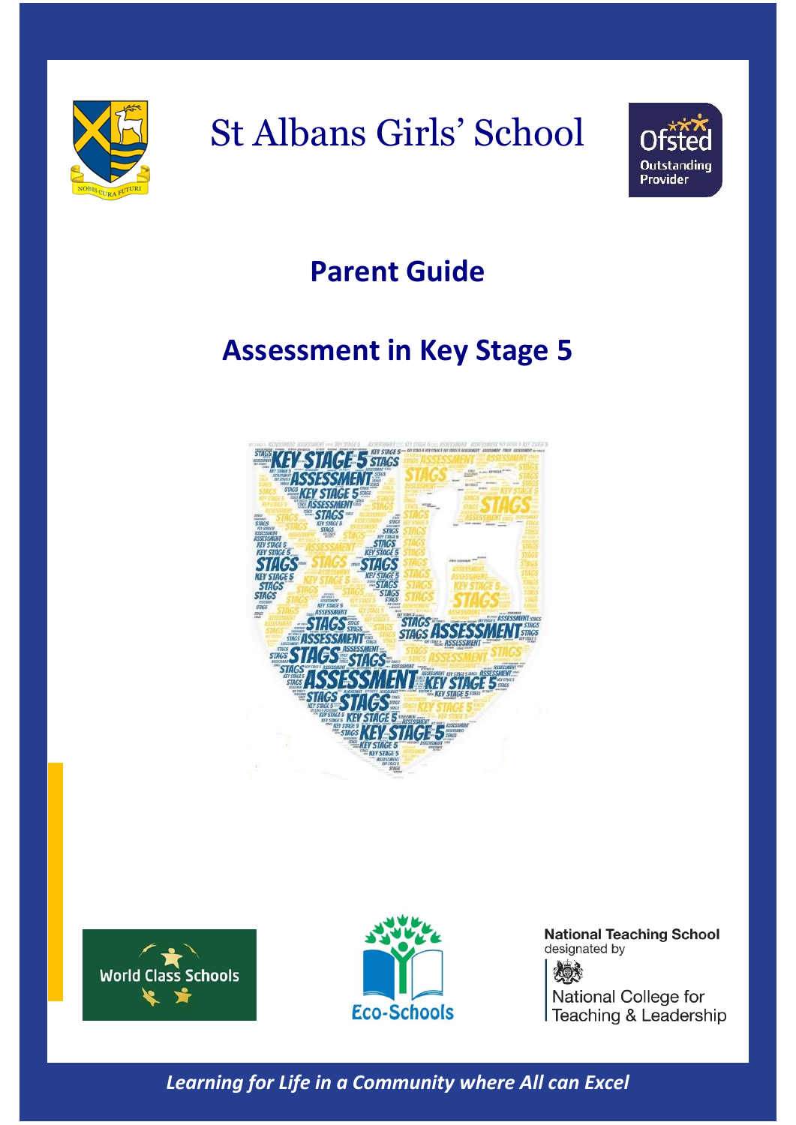

# St Albans Girls' School



### **Parent Guide**

## **Assessment in Key Stage 5**







**National Teaching School** designated by 化分布 National College for Teaching & Leadership

*Learning for Life in a Community where All can Excel*